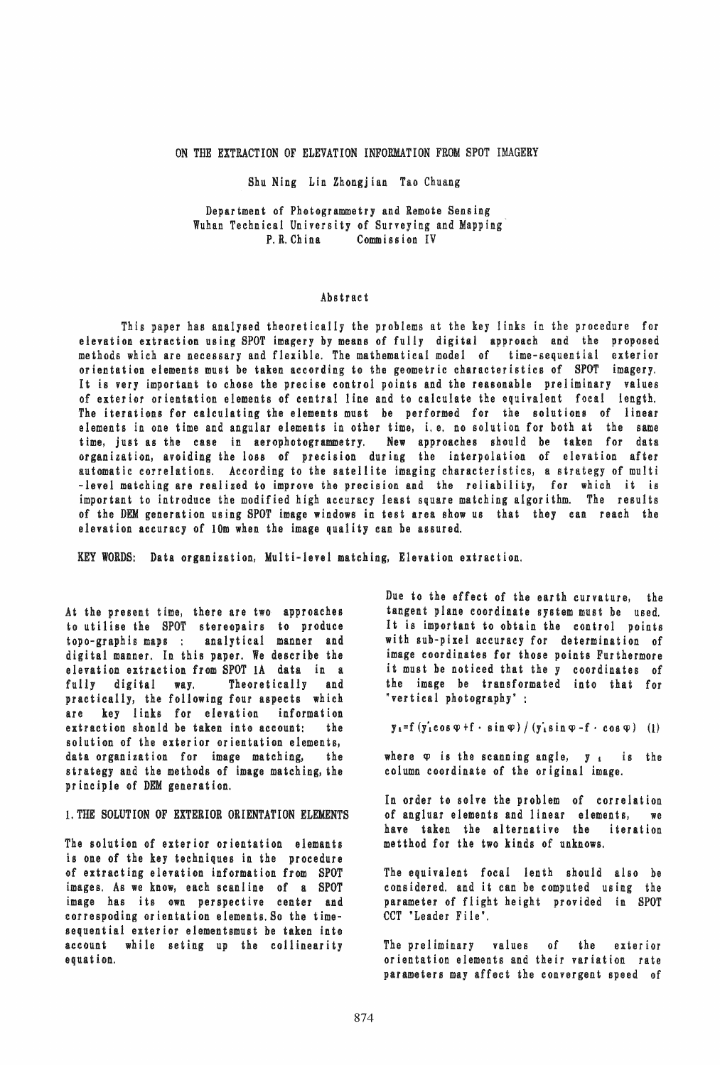ON THE EXTRACTION OF ELEVATION INFORMATION FROM SPOT IMAGERY

Shu Ning Lin Zhongjian Tao Chuang

Department of Photogrammetry and Remote Sensing Wuhan Technical University of Surveying and Mapping' Commission IV

### Abstract

This paper has analysed theoretically the problems at the key links in the procedure for elevation extraction using SPOT imagery by means of fully digital approach and the proposed methods which are necessary and flexible. The mathematical model of time-sequential exterior orientation elements must be taken according to the geometric characteristics of SPOT imagery. It is very important to chose the precise control points and the reasonable preliminary values of exterior orientation elements of central line and to calculate the equivalent focal length. The iterations for calculating the elements must be performed for the solutions of linear elements in one time and angular elements in other time, i. e. no solution for both at the same time, just as the ease in aerophotogrammetry. New approaches should be taken for data organization, avoiding the loss of precision during the interpolation of elevation after automatic correlations. According to the satellite imaging characteristics, a strategy of multi -level matching are realized to improve the precision and the reliability, for which it is important to introduce the modified high accuracy least square matching algorithm. The results of the DEM generation using SPOT image windows in test area show us that they can reach the elevation accuracy of 10m when the image quality can be assured.

KEY WORDS: Data organization, Multi-level matching, Elevation extraction.

At the present time, there are two approaches to utilise the SPOT stereopairs to produce topo-graphis maps: analytical manner and digi tal manner. In this paper. We describe the elevation extraction from SPOT lA data in a fully digital way. Theoretically and practically, the following four aspects which are key links for elevation information extraction shonld be taken into account: the solution of the exterior orientation elements, data organization for image matching, the strategy and the methods of image matching, the principle of DEM generation.

## 1. THE SOLUTION OF EXTERIOR ORIENTATION ELEMENTS

The solution of exterior orientation elemants is one of the key techniques in the procedure of extracting elevation information from SPOT images. As we know, each scanline of a SPOT image has its own perspective center and correspoding orientation elements. So the timesequential exterior elementsmust be taken into account while seting up the collinearity equation.

Due to the effect of the earth curvature, the tangent plane coordinate system must be used. It is important to obtain the control points with SUb-pixel accuracy for determination of image coordinates for those points Furthermore it must be noticed that the y coordinates of the image be transformated into that for "vertical photography" :

 $y_i = f(y_i \cos \varphi + f \cdot \sin \varphi) / (y_i \sin \varphi - f \cdot \cos \varphi)$  (1)

where  $\varphi$  is the scanning angle,  $y_i$  is the column coordinate of the original image.

In order to solve the problem of correlation of angiuar elements and linear elements, we have taken the alternative the iteration metthod for the two kinds of unknows.

The equivalent focal lenth should also be considered. and it can be computed using the parameter of flight height provided in SPOT CCT 'Leader File',

The preliminary values of the exterior orientation elements and their variation rate parameters may affect the convergent speed of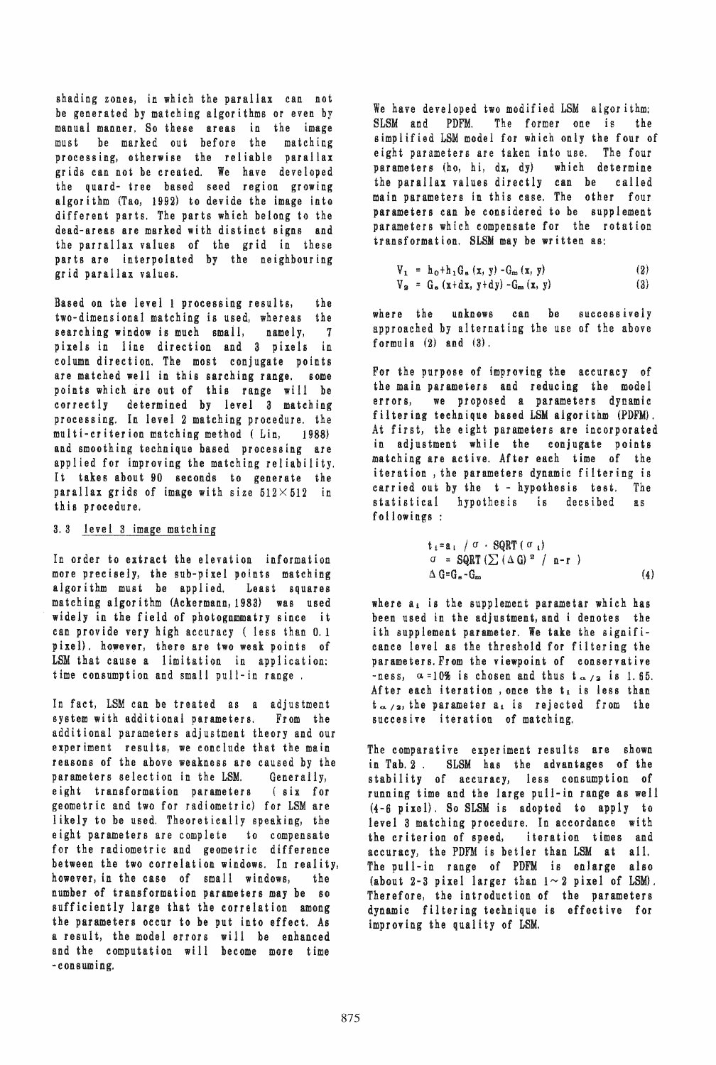shading zones, in which the parallax can not be generated by matching algorithms or even by manual manner. So these areas in the image must be marked out before the matching processing, otherwise the reliable parallax grids can not be created. We have developed the quard- tree based seed region growing algorithm (Tao, 1992) to devide the image into different parts. The parts which belong to the dead-areas are marked with distinct signs and the parrallax values of the grid in these parts are interpolated by the neighbouring grid parallax values.

Based on the level 1 processing results, the two-dimensional matching is used, whereas the searching window is much small, namely, 7 pixels in line direction and 3 pixels in column direction. The most conjugate points are matched well in this sarching range. some points which are out of this range will be correctly determined by level 3 matching processing. In level 2 matching procedure. the multi-criterion matching method (Lin, 1988) and smoothing technique based processing are applied for improving the matching reliability. It takes about 90 seconds to generate the parallax grids of image with size  $512 \times 512$  in th is pr oeedure.

# 3.3 level 3 image matching

In order to extract the elevation information more precisely, the SUb-pixel points matching algorithm must be applied. Least squares matching algorithm (Ackermann,1983) was used widely in the field of photognmmatry since it can provide very high accuracy ( less than 0.1 pixel). however, there are two weak points of LSM that cause a limitation in application: time consumption and small pull-in range,

In fact, LSM can be treated as a adjustment<br>system with additional parameters. From the system with additional parameters. additional parameters adjustment theory and our experiment results, we conclude that the main reasons of the above weakness are caused by the parameters selection in the LSM. Generally) eight transformation parameters (six for geometric and two for radiometric) for LSM are likely to be used. Theoretically speaking, the eight parameters are complete to compensate for the radiometric and geometric difference between the two correlation windows. In reality, however, in the case of small windows, the number of transformation parameters may be so sufficiently large that the correlation among the parameters occur to be put into effect. As a result, the model errors will be enhanced and the computation will become more time -consuming.

We have developed two modified LSM algorithm: SLSM and PDFM. The former one is the simplified LSM model for which only the four of eight parameters are taken into use. The four parameters (ho, hi, dx, dy) which determine the parallax values directly can be called main parameters in this ease. The other four parameters can be considered to be supplement parameters which compensate for the rotation transformation. SLSM may be written as:

$$
V_1 = h_0 + h_1 G_s (x, y) - G_m (x, y)
$$
  
\n
$$
V_2 = G_s (x + dx, y + dy) - G_m (x, y)
$$
 (3)

where the unknows can be successively approached by alternating the use of the above formula  $(2)$  and  $(3)$ .

For the purpose of improving the accuracy of the main parameters and reducing the model errors, we proposed a parameters dynamic filtering technique based LSM algorithm (PDFM} , At first, the eight parameters are incorporated in adjustment while the conjugate points matching are active. After each time of the iteration, the parameters dynamic filtering is carried out by the t - hypothesis test. The statistical hypothesis is decaibed as followings:

$$
t_i = a_i / \sigma \cdot SQRT (\sigma_i)
$$
  
\n
$$
\sigma = SQRT (\sum (\Delta G)^2 / n-r )
$$
  
\n
$$
\Delta G = G_s - G_m
$$
 (4)

where  $a_i$  is the supplement parametar which has been used in the adjustment, and i denotes the ith supplement parameter. We take the significance level as the threshold for filtering the parameters. From the viewpoint of conservative -ness,  $\alpha = 10\%$  is chosen and thus  $t_{\alpha/2}$  is 1.65. After each iteration, once the  $t_i$  is less than  $t_{\alpha/2}$ , the parameter a<sub>t</sub> is rejected from the succesive iteration of matching.

The comparative experiment results are shown in Tab. 2. SLSM has the advantages of the stability of accuracy, less consumption of running time and the large pull-in range as well (4-6 pixel). So SLSM is adopted to apply to level 3 matching procedure. In accordance with the criterion of speed, iteration times and accuracy, the PDFM is betler than LSM at all. The pull-in range of PDFM is enlarge also (about 2-3 pixel larger than  $1 \sim 2$  pixel of LSM). Therefore, the introduction of the parameters dynamic filtering technique is effective for improving the quality of LSM.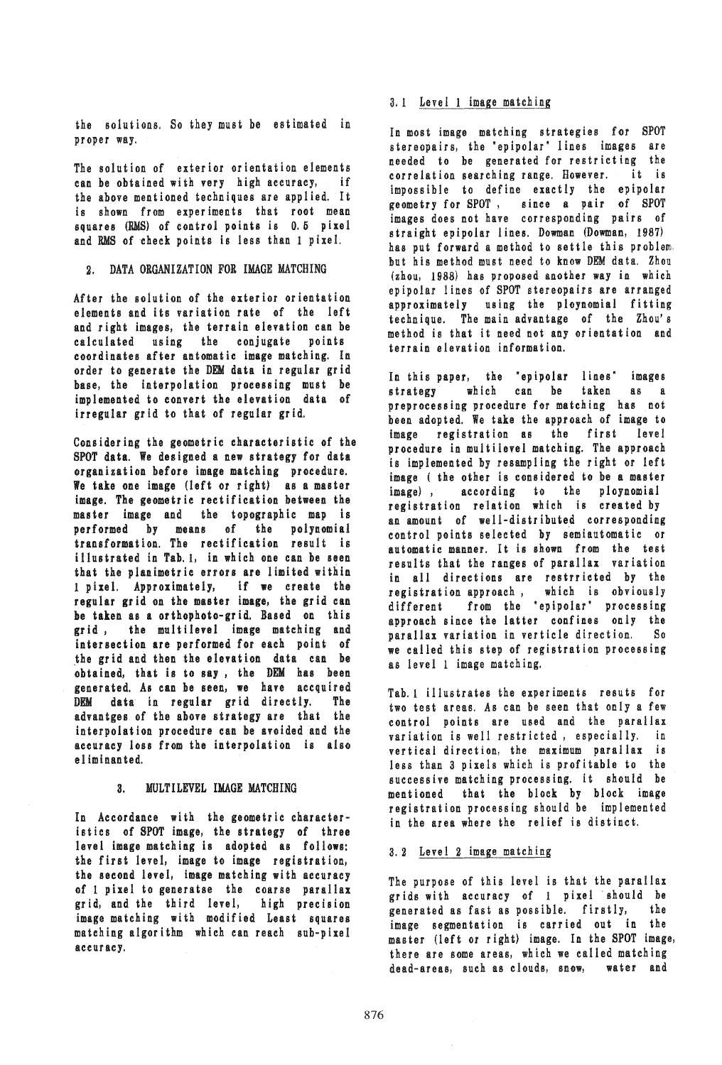the solutions. So they must be estimated in proper way.

The solution of exterior orientation elements can be obtained with very high accuracy, if the above mentioned techniques are applied. It is shown from experiments that root mean squares (RMS) of control points is 0.5 pixel and RMS of cheek points is less than 1 pixel.

## 2. DATA ORGANIZATION FOR IMAGE MATCHING

After the solution of the exterior orientation elements and its variation rate of the left and right images, the terrain elevation can be calculated using the conjugate points coordinates after antomatic image matching. In order to generate the DIM data in regular grid base, the interpolation processing must be implemented to convert the elevation data of irregular grid to that of regular grid.

Considering the geometric characteristic of the SPOT data. We designed a new strategy for data organization before image matching procedure. We take one image (left or right) as a master image. The geometric rectification between the master image and the topographic map is performed by means of the polynomial transformation. The rectification result is illus trated in Tab. 1, in which one can be seen that the planimetric errors are limited within 1 pixel. Approximately, if we create the regular grid on the master image, the grid can he taken as a orthophoto-grid. Based on this grid, the multilevel image matching and intersection are performed for each point of the grid and then the elevation data can be obtained, that is to say, the DEM has been generated. As can be seen, we have accquired DEM data in regular grid directly. The advantges of the above strategy are that the interpolation procedure can he avoided and the accuracy loss from the interpolation is also el iminanted.

#### 3. MULTILEVEL IMAGE MATCHING

In Accordance with the geometric characteristics of SPOT image, the strategy of three level image matching is adopted as follows: the first level, image to image registration, the second level, image matching with accuracy of 1 pixel to generatse the coarse parallax grid, and the third level, high precision image matching with modified Least squares matching algorithm which can reach SUb-pixel accuracy.

## 3.1 Level 1 image matching

In most image matching strategies for SPOT stereopairs, the 'epipolar' lines images are needed to be generated for restricting the correlation searching range. However. it is impossible to define exactly the epipolar geometry for SPOT, since a pair of SPOT images does not have corresponding pairs of straight epipolar lines. Dowman (Dowman, 1987) has put forward a method to settle this problem, but his method must need to know DEM data. Zhou (zhou, 1988) has proposed another way in which epipolar lines of SPOT stereopairs are arranged approximately using the ploynomial fitting technique. The main advantage of the Zhou's method is that it need not any orientation and terrain elevation information.

In this paper, the "epipolar lines" images strategy which can be taken as a preprocessing procedure for matching has not been adopted. We take the approach of image to image registration as the first level procedure in multilevel matching. The approach is implemented by resampling the right or left image ( the other is considered to be a master<br>image), according to the ploynomial according to the ploynomial registration relation which is created by an amount of well-distributed corresponding control points selected by semiautomatic or automatic manner. It is shown from the test results that the ranges of parallax variation in all directions are restrricted by the registration approach, which is obviously different from the "epipolar" processing approach since the latter confines only the parallax variation in verticle direction. So we called this step of registration processing as level 1 image matching.

Tab. 1 illustrates the experiments resuts for two test areas. As can be seen that only a few control points are used and the parallax variation is well restricted, especially. in vertical direction, the maximum parallax is less than 3 pixels which is profitable to the successive matching processing. it should be mentioned that the block by block image registration processing should be implemented in the area where the relief is distinct.

## a.2 Level 2 image matching

The purpose of this level is that the parallax grids with accuracy of 1 pixel 'should be generated as fast as possible. firstly, the image segmentation is carried out in the master (left or right) image. In the SPOT image, there are some areas, which we called matching dead-areas, such as clouds, snow, water and